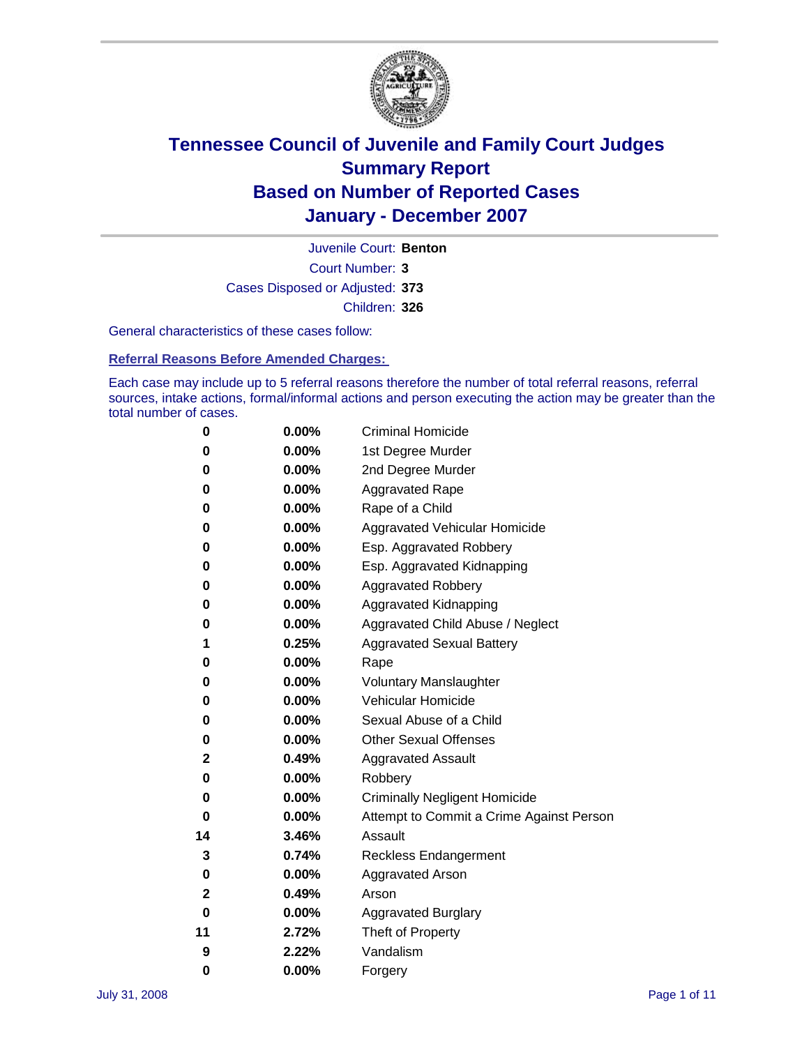

Court Number: **3** Juvenile Court: **Benton** Cases Disposed or Adjusted: **373** Children: **326**

General characteristics of these cases follow:

**Referral Reasons Before Amended Charges:** 

Each case may include up to 5 referral reasons therefore the number of total referral reasons, referral sources, intake actions, formal/informal actions and person executing the action may be greater than the total number of cases.

| 0  | 0.00%    | <b>Criminal Homicide</b>                 |
|----|----------|------------------------------------------|
| 0  | 0.00%    | 1st Degree Murder                        |
| 0  | $0.00\%$ | 2nd Degree Murder                        |
| 0  | 0.00%    | <b>Aggravated Rape</b>                   |
| 0  | 0.00%    | Rape of a Child                          |
| 0  | 0.00%    | Aggravated Vehicular Homicide            |
| 0  | 0.00%    | Esp. Aggravated Robbery                  |
| 0  | 0.00%    | Esp. Aggravated Kidnapping               |
| 0  | 0.00%    | <b>Aggravated Robbery</b>                |
| 0  | $0.00\%$ | Aggravated Kidnapping                    |
| 0  | 0.00%    | Aggravated Child Abuse / Neglect         |
| 1  | 0.25%    | <b>Aggravated Sexual Battery</b>         |
| 0  | 0.00%    | Rape                                     |
| 0  | 0.00%    | <b>Voluntary Manslaughter</b>            |
| 0  | 0.00%    | Vehicular Homicide                       |
| 0  | 0.00%    | Sexual Abuse of a Child                  |
| 0  | 0.00%    | <b>Other Sexual Offenses</b>             |
| 2  | 0.49%    | <b>Aggravated Assault</b>                |
| 0  | $0.00\%$ | Robbery                                  |
| 0  | 0.00%    | <b>Criminally Negligent Homicide</b>     |
| 0  | 0.00%    | Attempt to Commit a Crime Against Person |
| 14 | 3.46%    | Assault                                  |
| 3  | 0.74%    | <b>Reckless Endangerment</b>             |
| 0  | 0.00%    | <b>Aggravated Arson</b>                  |
| 2  | 0.49%    | Arson                                    |
| 0  | 0.00%    | <b>Aggravated Burglary</b>               |
| 11 | 2.72%    | Theft of Property                        |
| 9  | 2.22%    | Vandalism                                |
| 0  | 0.00%    | Forgery                                  |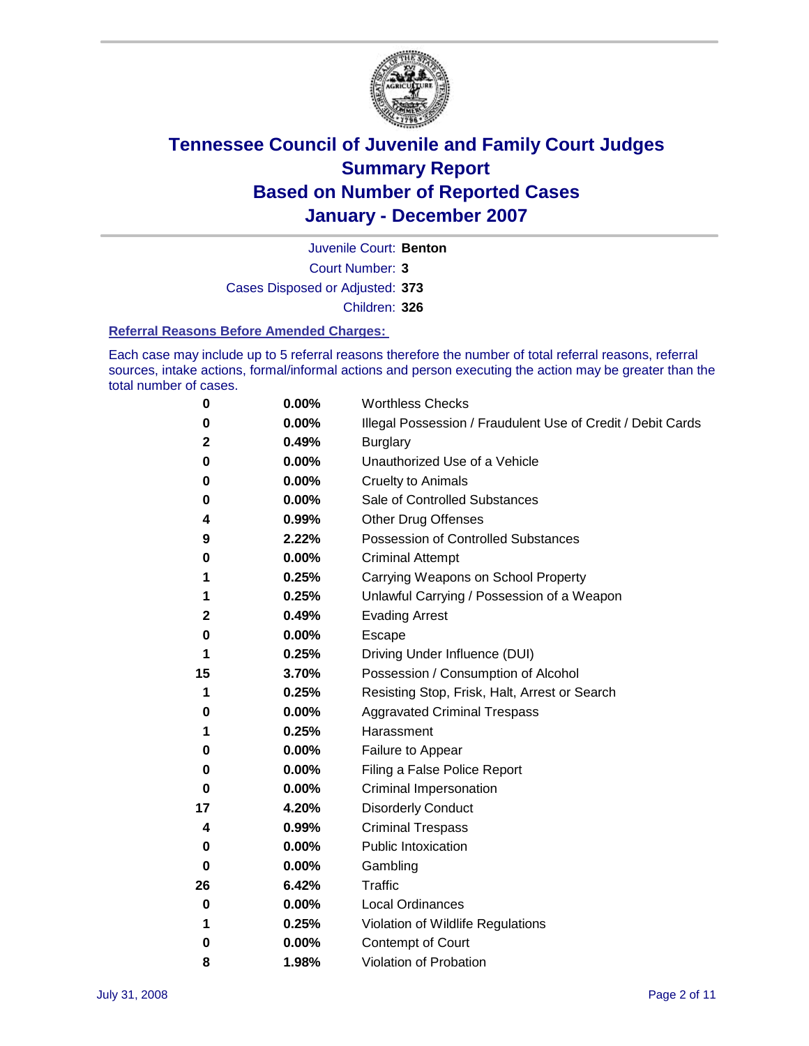

Court Number: **3** Juvenile Court: **Benton** Cases Disposed or Adjusted: **373** Children: **326**

#### **Referral Reasons Before Amended Charges:**

Each case may include up to 5 referral reasons therefore the number of total referral reasons, referral sources, intake actions, formal/informal actions and person executing the action may be greater than the total number of cases.

| 0            | 0.00% | <b>Worthless Checks</b>                                     |
|--------------|-------|-------------------------------------------------------------|
| 0            | 0.00% | Illegal Possession / Fraudulent Use of Credit / Debit Cards |
| $\mathbf{2}$ | 0.49% | <b>Burglary</b>                                             |
| 0            | 0.00% | Unauthorized Use of a Vehicle                               |
| 0            | 0.00% | <b>Cruelty to Animals</b>                                   |
| 0            | 0.00% | Sale of Controlled Substances                               |
| 4            | 0.99% | <b>Other Drug Offenses</b>                                  |
| 9            | 2.22% | <b>Possession of Controlled Substances</b>                  |
| 0            | 0.00% | <b>Criminal Attempt</b>                                     |
| 1            | 0.25% | Carrying Weapons on School Property                         |
| 1            | 0.25% | Unlawful Carrying / Possession of a Weapon                  |
| $\mathbf{2}$ | 0.49% | <b>Evading Arrest</b>                                       |
| 0            | 0.00% | Escape                                                      |
| 1            | 0.25% | Driving Under Influence (DUI)                               |
| 15           | 3.70% | Possession / Consumption of Alcohol                         |
| 1            | 0.25% | Resisting Stop, Frisk, Halt, Arrest or Search               |
| 0            | 0.00% | <b>Aggravated Criminal Trespass</b>                         |
| 1            | 0.25% | Harassment                                                  |
| 0            | 0.00% | Failure to Appear                                           |
| 0            | 0.00% | Filing a False Police Report                                |
| 0            | 0.00% | Criminal Impersonation                                      |
| 17           | 4.20% | <b>Disorderly Conduct</b>                                   |
| 4            | 0.99% | <b>Criminal Trespass</b>                                    |
| 0            | 0.00% | <b>Public Intoxication</b>                                  |
| 0            | 0.00% | Gambling                                                    |
| 26           | 6.42% | Traffic                                                     |
| 0            | 0.00% | <b>Local Ordinances</b>                                     |
| 1            | 0.25% | Violation of Wildlife Regulations                           |
| 0            | 0.00% | Contempt of Court                                           |
| 8            | 1.98% | Violation of Probation                                      |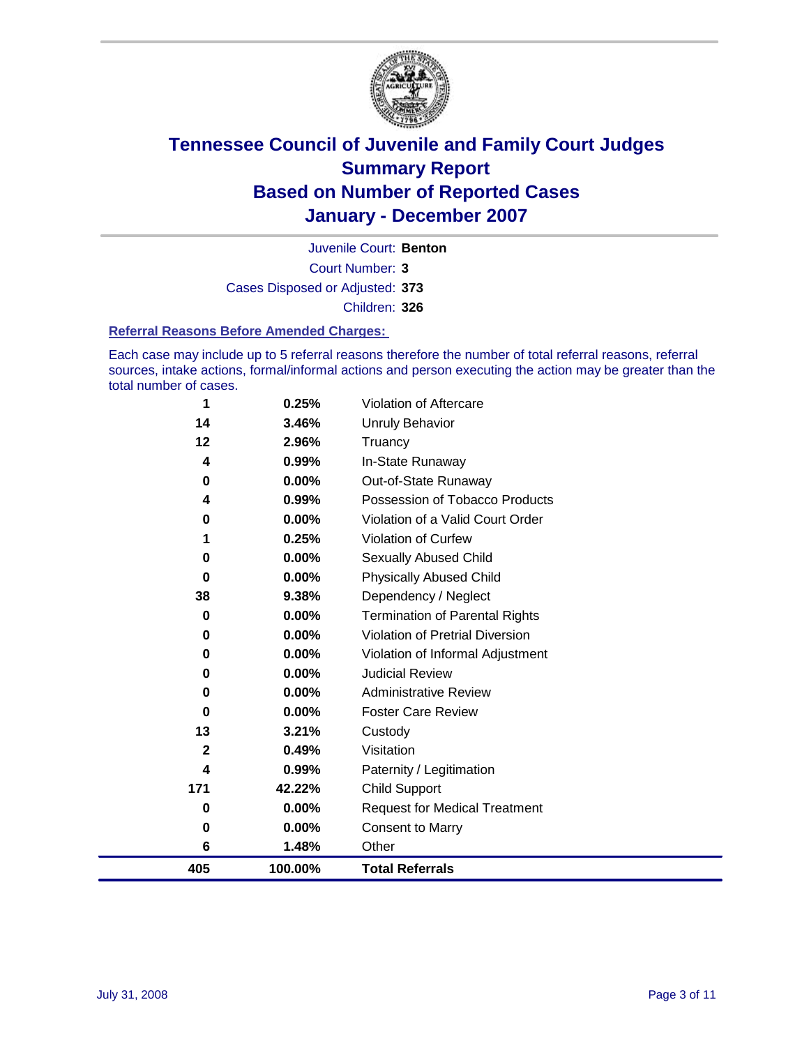

Court Number: **3** Juvenile Court: **Benton** Cases Disposed or Adjusted: **373** Children: **326**

#### **Referral Reasons Before Amended Charges:**

Each case may include up to 5 referral reasons therefore the number of total referral reasons, referral sources, intake actions, formal/informal actions and person executing the action may be greater than the total number of cases.

| 405         | 100.00%  | <b>Total Referrals</b>                 |
|-------------|----------|----------------------------------------|
| 6           | 1.48%    | Other                                  |
| $\bf{0}$    | 0.00%    | <b>Consent to Marry</b>                |
| 0           | 0.00%    | <b>Request for Medical Treatment</b>   |
| 171         | 42.22%   | <b>Child Support</b>                   |
| 4           | 0.99%    | Paternity / Legitimation               |
| $\mathbf 2$ | 0.49%    | Visitation                             |
| 13          | 3.21%    | Custody                                |
| 0           | $0.00\%$ | <b>Foster Care Review</b>              |
| 0           | $0.00\%$ | <b>Administrative Review</b>           |
| 0           | 0.00%    | <b>Judicial Review</b>                 |
| 0           | 0.00%    | Violation of Informal Adjustment       |
| 0           | $0.00\%$ | <b>Violation of Pretrial Diversion</b> |
| 0           | $0.00\%$ | <b>Termination of Parental Rights</b>  |
| 38          | 9.38%    | Dependency / Neglect                   |
| 0           | $0.00\%$ | <b>Physically Abused Child</b>         |
| 0           | 0.00%    | Sexually Abused Child                  |
|             | 0.25%    | <b>Violation of Curfew</b>             |
| 0           | 0.00%    | Violation of a Valid Court Order       |
| 4           | 0.99%    | Possession of Tobacco Products         |
| 0           | $0.00\%$ | Out-of-State Runaway                   |
| 4           | 0.99%    | In-State Runaway                       |
| 12          | 2.96%    | Truancy                                |
| 14          | 3.46%    | <b>Unruly Behavior</b>                 |
| 1           | 0.25%    | Violation of Aftercare                 |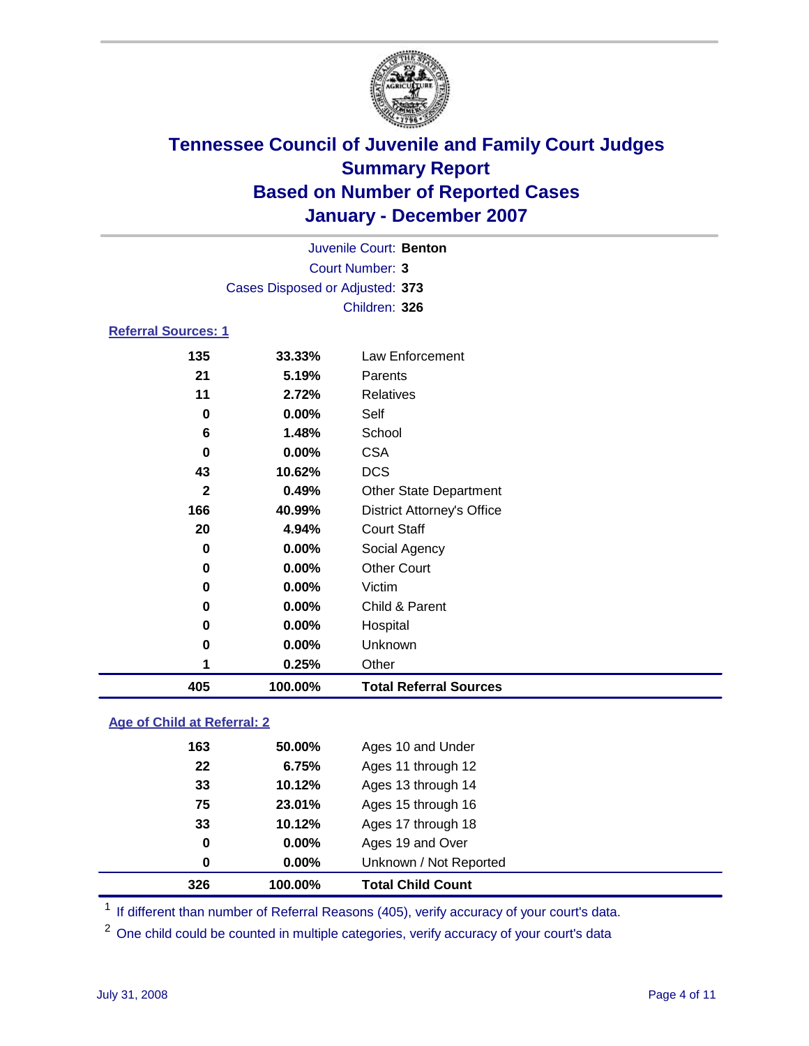

|                            |                                 | Juvenile Court: Benton |  |
|----------------------------|---------------------------------|------------------------|--|
|                            |                                 | Court Number: 3        |  |
|                            | Cases Disposed or Adjusted: 373 |                        |  |
|                            |                                 | Children: 326          |  |
| <b>Referral Sources: 1</b> |                                 |                        |  |
| イマベ                        | <b>33 330</b> 75                | Law Enforcement        |  |

### **33.33%** Law Enforcement **5.19%** Parents **2.72%** Relatives **0.00%** Self **1.48%** School **0.00%** CSA **10.62%** DCS **0.49%** Other State Department **40.99%** District Attorney's Office **4.94%** Court Staff **0.00%** Social Agency **0.00%** Other Court **0.00%** Victim **0.00%** Child & Parent **0.00%** Hospital **0.00%** Unknown **0.25%** Other **100.00% Total Referral Sources**

### **Age of Child at Referral: 2**

| 326 | 100.00% | <b>Total Child Count</b> |
|-----|---------|--------------------------|
| 0   | 0.00%   | Unknown / Not Reported   |
| 0   | 0.00%   | Ages 19 and Over         |
| 33  | 10.12%  | Ages 17 through 18       |
| 75  | 23.01%  | Ages 15 through 16       |
| 33  | 10.12%  | Ages 13 through 14       |
| 22  | 6.75%   | Ages 11 through 12       |
| 163 | 50.00%  | Ages 10 and Under        |
|     |         |                          |

<sup>1</sup> If different than number of Referral Reasons (405), verify accuracy of your court's data.

<sup>2</sup> One child could be counted in multiple categories, verify accuracy of your court's data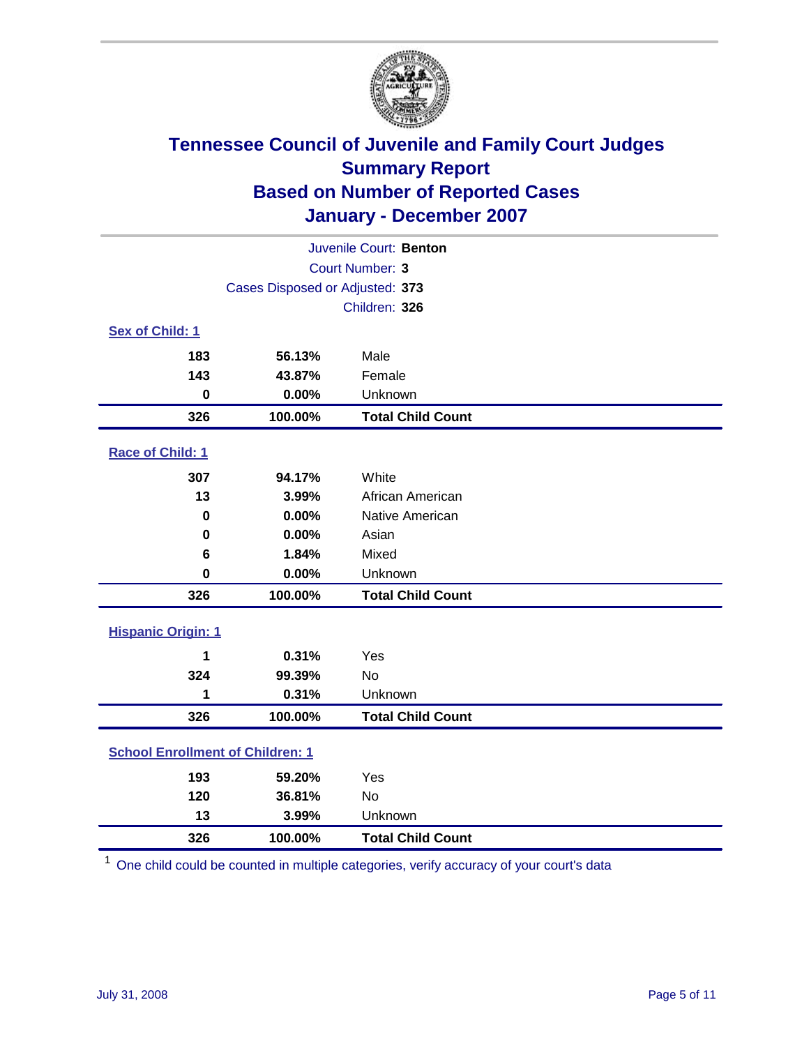

| Juvenile Court: Benton                  |                                 |                          |  |  |  |
|-----------------------------------------|---------------------------------|--------------------------|--|--|--|
| <b>Court Number: 3</b>                  |                                 |                          |  |  |  |
|                                         | Cases Disposed or Adjusted: 373 |                          |  |  |  |
|                                         | Children: 326                   |                          |  |  |  |
| Sex of Child: 1                         |                                 |                          |  |  |  |
| 183                                     | 56.13%                          | Male                     |  |  |  |
| 143                                     | 43.87%                          | Female                   |  |  |  |
| $\bf{0}$                                | 0.00%                           | Unknown                  |  |  |  |
| 326                                     | 100.00%                         | <b>Total Child Count</b> |  |  |  |
| Race of Child: 1                        |                                 |                          |  |  |  |
| 307                                     | 94.17%                          | White                    |  |  |  |
| 13                                      | 3.99%                           | African American         |  |  |  |
| 0                                       | 0.00%                           | Native American          |  |  |  |
| 0                                       | 0.00%                           | Asian                    |  |  |  |
| 6                                       | 1.84%                           | Mixed                    |  |  |  |
| $\mathbf 0$                             | 0.00%                           | Unknown                  |  |  |  |
| 326                                     | 100.00%                         | <b>Total Child Count</b> |  |  |  |
| <b>Hispanic Origin: 1</b>               |                                 |                          |  |  |  |
| 1                                       | 0.31%                           | Yes                      |  |  |  |
| 324                                     | 99.39%                          | No                       |  |  |  |
| 1                                       | 0.31%                           | Unknown                  |  |  |  |
| 326                                     | 100.00%                         | <b>Total Child Count</b> |  |  |  |
| <b>School Enrollment of Children: 1</b> |                                 |                          |  |  |  |
| 193                                     | 59.20%                          | Yes                      |  |  |  |
| 120                                     | 36.81%                          | No                       |  |  |  |
| 13                                      | 3.99%                           | Unknown                  |  |  |  |
| 326                                     | 100.00%                         | <b>Total Child Count</b> |  |  |  |

One child could be counted in multiple categories, verify accuracy of your court's data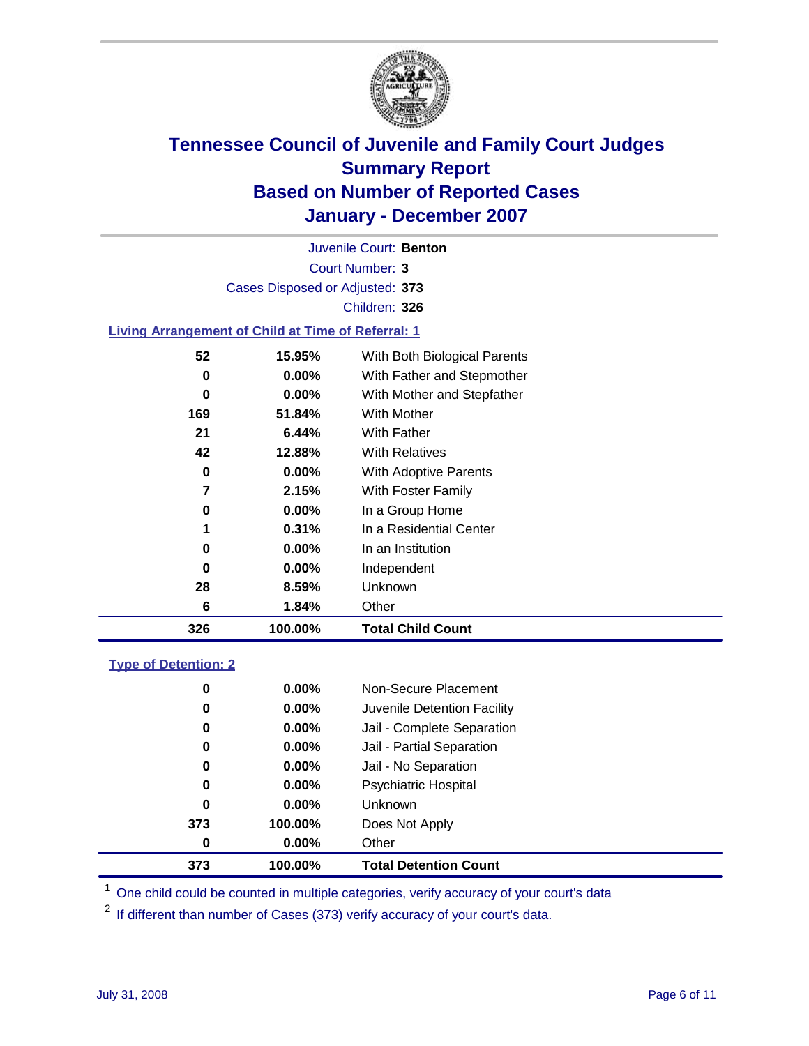

Court Number: **3** Juvenile Court: **Benton** Cases Disposed or Adjusted: **373** Children: **326**

#### **Living Arrangement of Child at Time of Referral: 1**

| 326 | 100.00%  | <b>Total Child Count</b>     |
|-----|----------|------------------------------|
| 6   | 1.84%    | Other                        |
| 28  | 8.59%    | Unknown                      |
| 0   | $0.00\%$ | Independent                  |
| 0   | $0.00\%$ | In an Institution            |
| 1   | 0.31%    | In a Residential Center      |
| 0   | $0.00\%$ | In a Group Home              |
| 7   | 2.15%    | With Foster Family           |
| 0   | $0.00\%$ | With Adoptive Parents        |
| 42  | 12.88%   | <b>With Relatives</b>        |
| 21  | 6.44%    | With Father                  |
| 169 | 51.84%   | With Mother                  |
| 0   | $0.00\%$ | With Mother and Stepfather   |
| 0   | 0.00%    | With Father and Stepmother   |
| 52  | 15.95%   | With Both Biological Parents |
|     |          |                              |

#### **Type of Detention: 2**

| 373 | 100.00%  | <b>Total Detention Count</b> |
|-----|----------|------------------------------|
| 0   | $0.00\%$ | Other                        |
| 373 | 100.00%  | Does Not Apply               |
| 0   | $0.00\%$ | <b>Unknown</b>               |
| 0   | $0.00\%$ | <b>Psychiatric Hospital</b>  |
| 0   | 0.00%    | Jail - No Separation         |
| 0   | $0.00\%$ | Jail - Partial Separation    |
| 0   | 0.00%    | Jail - Complete Separation   |
| 0   | 0.00%    | Juvenile Detention Facility  |
| 0   | $0.00\%$ | Non-Secure Placement         |
|     |          |                              |

<sup>1</sup> One child could be counted in multiple categories, verify accuracy of your court's data

<sup>2</sup> If different than number of Cases (373) verify accuracy of your court's data.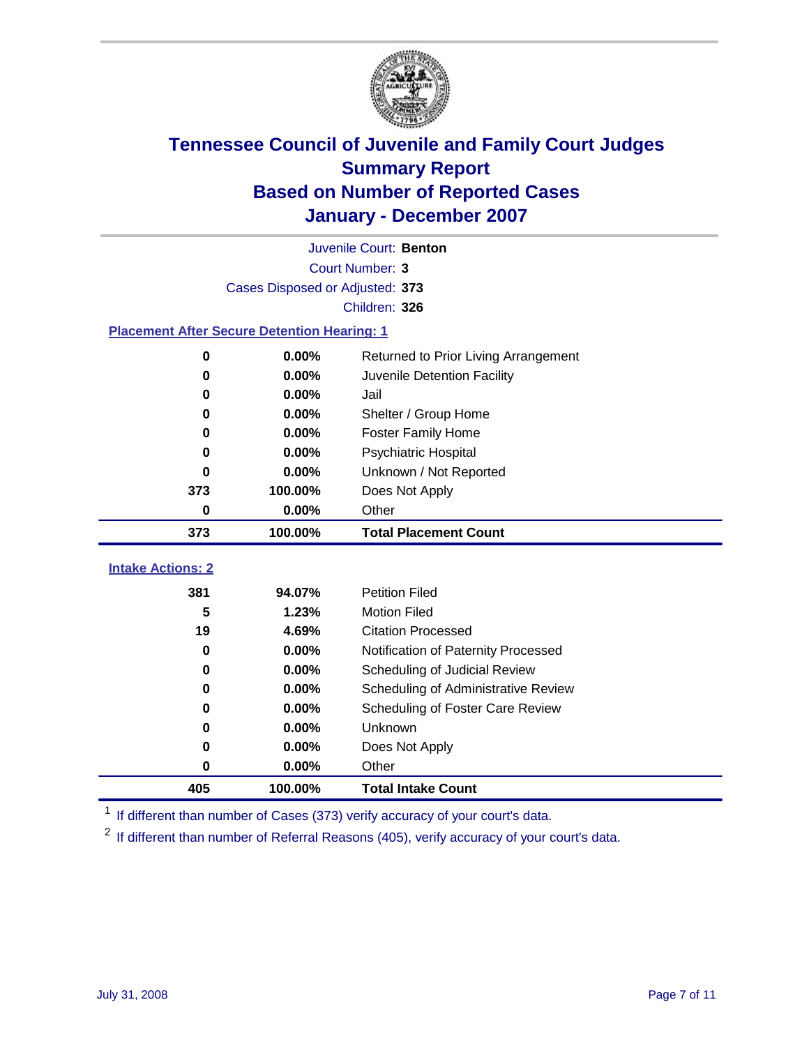

|                                                    | Juvenile Court: Benton          |                                      |  |  |  |  |
|----------------------------------------------------|---------------------------------|--------------------------------------|--|--|--|--|
|                                                    | Court Number: 3                 |                                      |  |  |  |  |
|                                                    | Cases Disposed or Adjusted: 373 |                                      |  |  |  |  |
|                                                    | Children: 326                   |                                      |  |  |  |  |
| <b>Placement After Secure Detention Hearing: 1</b> |                                 |                                      |  |  |  |  |
| 0                                                  | 0.00%                           | Returned to Prior Living Arrangement |  |  |  |  |
| 0                                                  | 0.00%                           | Juvenile Detention Facility          |  |  |  |  |
| 0                                                  | 0.00%                           | Jail                                 |  |  |  |  |
| 0                                                  | 0.00%                           | Shelter / Group Home                 |  |  |  |  |
| 0                                                  | 0.00%                           | <b>Foster Family Home</b>            |  |  |  |  |
| 0                                                  | 0.00%                           | Psychiatric Hospital                 |  |  |  |  |
| 0                                                  | 0.00%                           | Unknown / Not Reported               |  |  |  |  |
| 373                                                | 100.00%                         | Does Not Apply                       |  |  |  |  |
| 0                                                  | 0.00%                           | Other                                |  |  |  |  |
|                                                    |                                 |                                      |  |  |  |  |
| 373                                                | 100.00%                         | <b>Total Placement Count</b>         |  |  |  |  |
| <b>Intake Actions: 2</b>                           |                                 |                                      |  |  |  |  |
| 381                                                | 94.07%                          | <b>Petition Filed</b>                |  |  |  |  |
| 5                                                  | 1.23%                           | <b>Motion Filed</b>                  |  |  |  |  |
| 19                                                 | 4.69%                           | <b>Citation Processed</b>            |  |  |  |  |
| 0                                                  | 0.00%                           | Notification of Paternity Processed  |  |  |  |  |
| 0                                                  | $0.00\%$                        | Scheduling of Judicial Review        |  |  |  |  |
| 0                                                  | 0.00%                           | Scheduling of Administrative Review  |  |  |  |  |
| 0                                                  | 0.00%                           | Scheduling of Foster Care Review     |  |  |  |  |
| 0                                                  | 0.00%                           | Unknown                              |  |  |  |  |
| 0                                                  | 0.00%                           | Does Not Apply                       |  |  |  |  |
| 0                                                  | 0.00%                           | Other                                |  |  |  |  |

<sup>1</sup> If different than number of Cases (373) verify accuracy of your court's data.

<sup>2</sup> If different than number of Referral Reasons (405), verify accuracy of your court's data.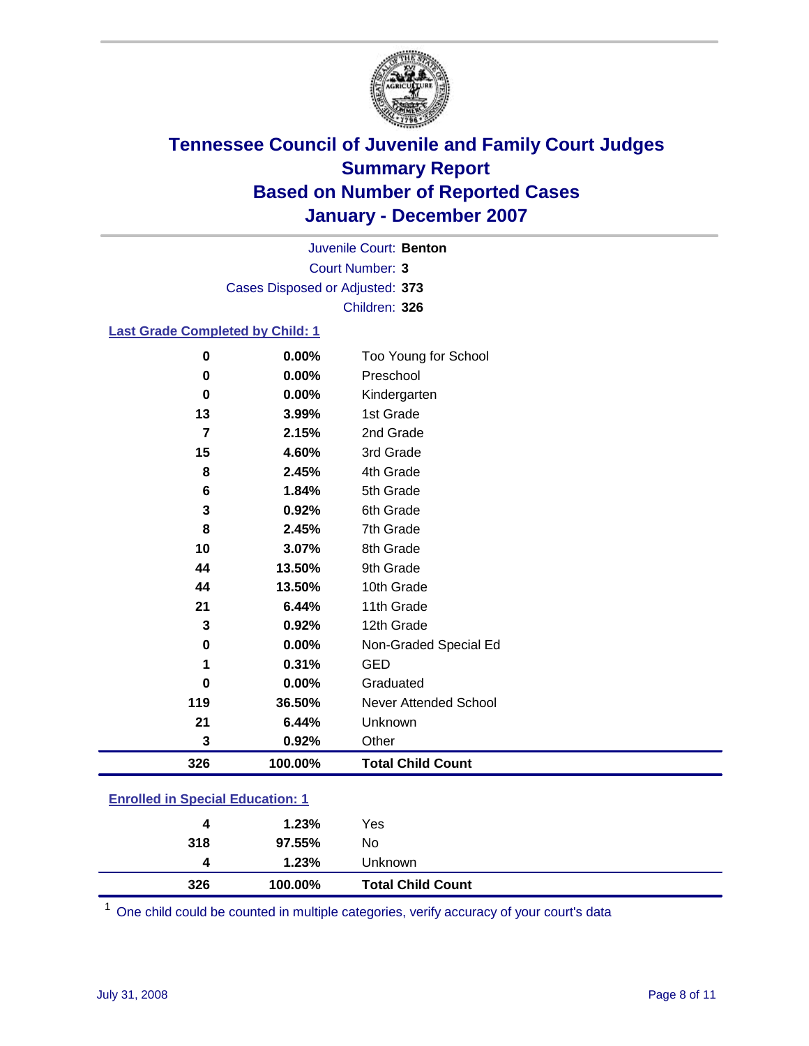

Court Number: **3** Juvenile Court: **Benton** Cases Disposed or Adjusted: **373** Children: **326**

#### **Last Grade Completed by Child: 1**

| 326            | 100.00% | <b>Total Child Count</b> |
|----------------|---------|--------------------------|
| 3              | 0.92%   | Other                    |
| 21             | 6.44%   | Unknown                  |
| 119            | 36.50%  | Never Attended School    |
| 0              | 0.00%   | Graduated                |
| 1              | 0.31%   | <b>GED</b>               |
| 0              | 0.00%   | Non-Graded Special Ed    |
| 3              | 0.92%   | 12th Grade               |
| 21             | 6.44%   | 11th Grade               |
| 44             | 13.50%  | 10th Grade               |
| 44             | 13.50%  | 9th Grade                |
| 10             | 3.07%   | 8th Grade                |
| 8              | 2.45%   | 7th Grade                |
| 3              | 0.92%   | 6th Grade                |
| 6              | 1.84%   | 5th Grade                |
| 8              | 2.45%   | 4th Grade                |
| 15             | 4.60%   | 3rd Grade                |
| $\overline{7}$ | 2.15%   | 2nd Grade                |
| 13             | 3.99%   | 1st Grade                |
| $\bf{0}$       | 0.00%   | Kindergarten             |
| 0              | 0.00%   | Preschool                |
| 0              | 0.00%   | Too Young for School     |

### **Enrolled in Special Education: 1**

| 326<br><b>Total Child Count</b><br>100.00% |  |
|--------------------------------------------|--|
| 1.23%<br><b>Unknown</b><br>4               |  |
| 318<br>97.55%<br>No.                       |  |
| 1.23%<br>Yes<br>4                          |  |

<sup>1</sup> One child could be counted in multiple categories, verify accuracy of your court's data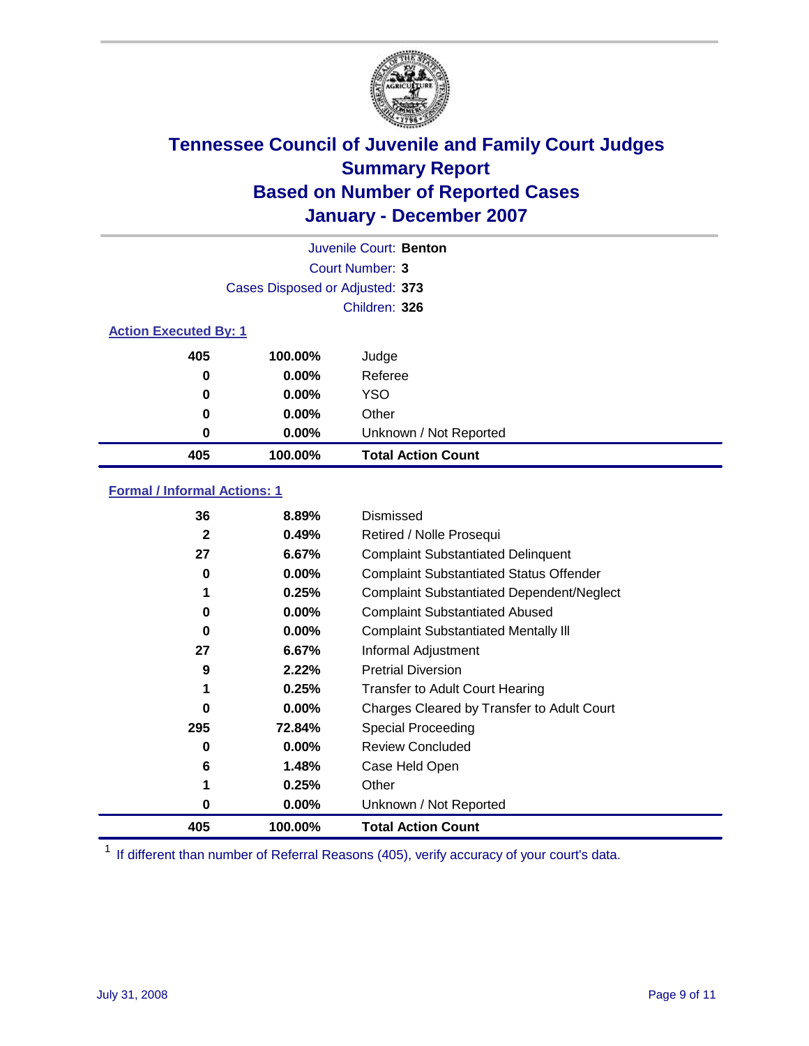

| Juvenile Court: Benton       |                                 |                           |  |  |  |
|------------------------------|---------------------------------|---------------------------|--|--|--|
|                              | Court Number: 3                 |                           |  |  |  |
|                              | Cases Disposed or Adjusted: 373 |                           |  |  |  |
|                              | Children: 326                   |                           |  |  |  |
| <b>Action Executed By: 1</b> |                                 |                           |  |  |  |
| 405                          | 100.00%                         | Judge                     |  |  |  |
| 0                            | $0.00\%$                        | Referee                   |  |  |  |
| 0                            | $0.00\%$                        | <b>YSO</b>                |  |  |  |
| 0                            | $0.00\%$                        | Other                     |  |  |  |
| 0                            | 0.00%                           | Unknown / Not Reported    |  |  |  |
| 405                          | 100.00%                         | <b>Total Action Count</b> |  |  |  |

### **Formal / Informal Actions: 1**

| 36           | 8.89%    | Dismissed                                        |
|--------------|----------|--------------------------------------------------|
| $\mathbf{2}$ | 0.49%    | Retired / Nolle Prosequi                         |
| 27           | 6.67%    | <b>Complaint Substantiated Delinquent</b>        |
| 0            | $0.00\%$ | <b>Complaint Substantiated Status Offender</b>   |
| 1            | 0.25%    | <b>Complaint Substantiated Dependent/Neglect</b> |
| 0            | $0.00\%$ | <b>Complaint Substantiated Abused</b>            |
| 0            | $0.00\%$ | <b>Complaint Substantiated Mentally III</b>      |
| 27           | 6.67%    | Informal Adjustment                              |
| 9            | 2.22%    | <b>Pretrial Diversion</b>                        |
| 1            | 0.25%    | <b>Transfer to Adult Court Hearing</b>           |
| 0            | $0.00\%$ | Charges Cleared by Transfer to Adult Court       |
| 295          | 72.84%   | Special Proceeding                               |
| 0            | $0.00\%$ | <b>Review Concluded</b>                          |
| 6            | 1.48%    | Case Held Open                                   |
|              | 0.25%    | Other                                            |
| 0            | 0.00%    | Unknown / Not Reported                           |
| 405          | 100.00%  | <b>Total Action Count</b>                        |

<sup>1</sup> If different than number of Referral Reasons (405), verify accuracy of your court's data.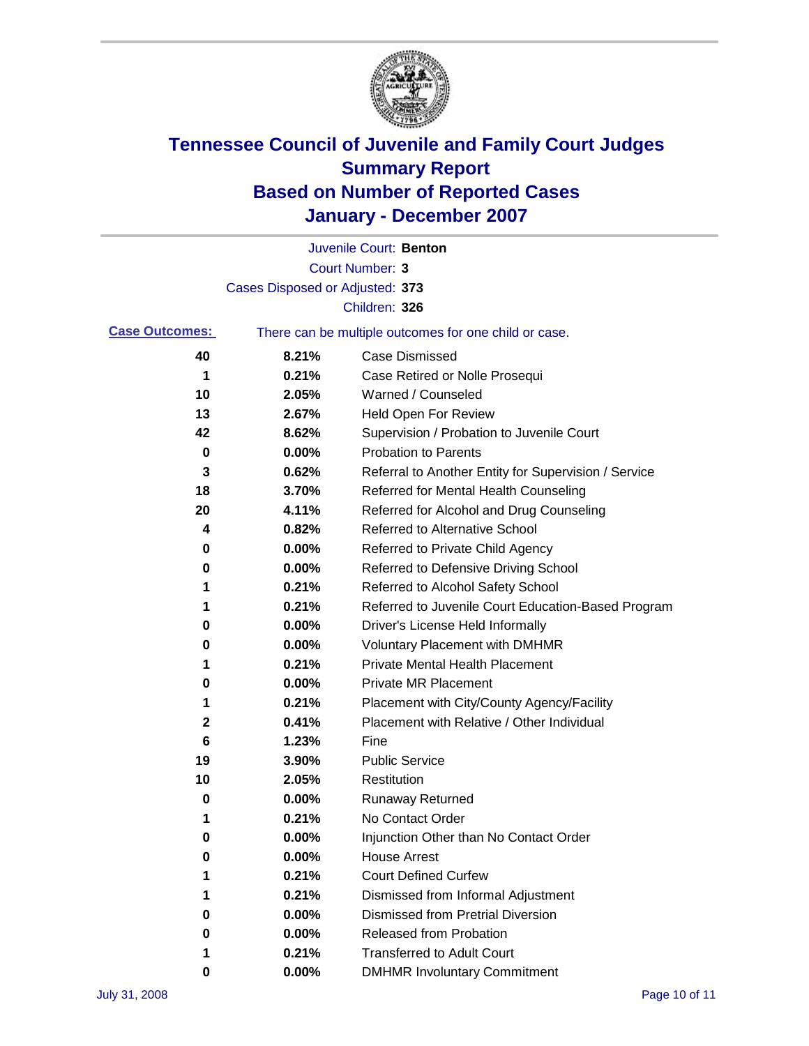

|                       |                                                       | Juvenile Court: Benton                               |
|-----------------------|-------------------------------------------------------|------------------------------------------------------|
|                       |                                                       | Court Number: 3                                      |
|                       | Cases Disposed or Adjusted: 373                       |                                                      |
|                       |                                                       | Children: 326                                        |
| <b>Case Outcomes:</b> | There can be multiple outcomes for one child or case. |                                                      |
| 40                    | 8.21%                                                 | <b>Case Dismissed</b>                                |
| 1                     | 0.21%                                                 | Case Retired or Nolle Prosequi                       |
| 10                    | 2.05%                                                 | Warned / Counseled                                   |
| 13                    | 2.67%                                                 | Held Open For Review                                 |
| 42                    | 8.62%                                                 | Supervision / Probation to Juvenile Court            |
| 0                     | 0.00%                                                 | <b>Probation to Parents</b>                          |
| 3                     | 0.62%                                                 | Referral to Another Entity for Supervision / Service |
| 18                    | 3.70%                                                 | Referred for Mental Health Counseling                |
| 20                    | 4.11%                                                 | Referred for Alcohol and Drug Counseling             |
| 4                     | 0.82%                                                 | <b>Referred to Alternative School</b>                |
| 0                     | 0.00%                                                 | Referred to Private Child Agency                     |
| 0                     | 0.00%                                                 | Referred to Defensive Driving School                 |
| 1                     | 0.21%                                                 | Referred to Alcohol Safety School                    |
| 1                     | 0.21%                                                 | Referred to Juvenile Court Education-Based Program   |
| 0                     | 0.00%                                                 | Driver's License Held Informally                     |
| 0                     | 0.00%                                                 | <b>Voluntary Placement with DMHMR</b>                |
| 1                     | 0.21%                                                 | <b>Private Mental Health Placement</b>               |
| 0                     | 0.00%                                                 | <b>Private MR Placement</b>                          |
| 1                     | 0.21%                                                 | Placement with City/County Agency/Facility           |
| 2                     | 0.41%                                                 | Placement with Relative / Other Individual           |
| 6                     | 1.23%                                                 | Fine                                                 |
| 19                    | 3.90%                                                 | <b>Public Service</b>                                |
| 10                    | 2.05%                                                 | Restitution                                          |
| 0                     | 0.00%                                                 | <b>Runaway Returned</b>                              |
| 1                     | 0.21%                                                 | No Contact Order                                     |
| 0                     | $0.00\%$                                              | Injunction Other than No Contact Order               |
| 0                     | 0.00%                                                 | <b>House Arrest</b>                                  |
| 1                     | 0.21%                                                 | <b>Court Defined Curfew</b>                          |
| 1                     | 0.21%                                                 | Dismissed from Informal Adjustment                   |
| 0                     | 0.00%                                                 | <b>Dismissed from Pretrial Diversion</b>             |
| 0                     | 0.00%                                                 | Released from Probation                              |
| 1                     | 0.21%                                                 | <b>Transferred to Adult Court</b>                    |
| 0                     | $0.00\%$                                              | <b>DMHMR Involuntary Commitment</b>                  |